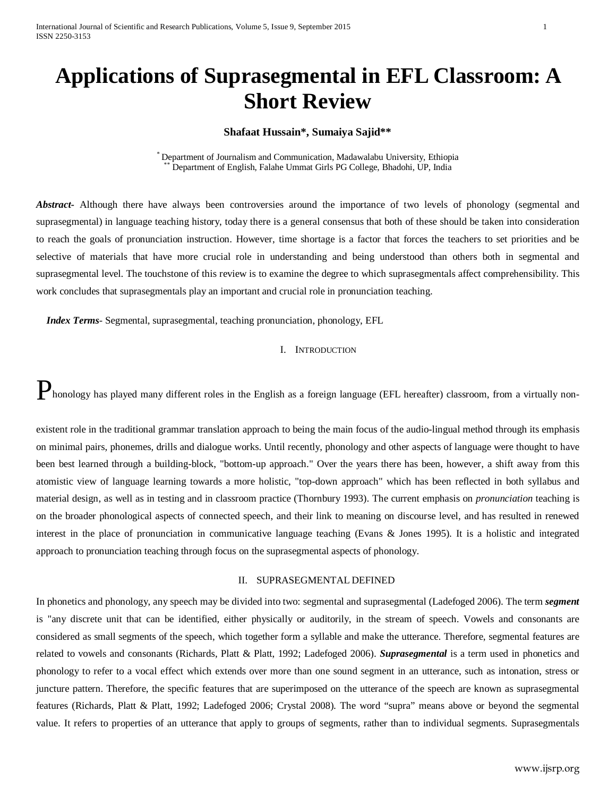International Journal of Scientific and Research Publications, Volume 5, Issue 9, September 2015 1 ISSN 2250-3153

# **Applications of Suprasegmental in EFL Classroom: A Short Review**

# **Shafaat Hussain\*, Sumaiya Sajid\*\***

\* Department of Journalism and Communication, Madawalabu University, Ethiopia \*\* Department of English, Falahe Ummat Girls PG College, Bhadohi, UP, India

*Abstract***-** Although there have always been controversies around the importance of two levels of phonology (segmental and suprasegmental) in language teaching history, today there is a general consensus that both of these should be taken into consideration to reach the goals of pronunciation instruction. However, time shortage is a factor that forces the teachers to set priorities and be selective of materials that have more crucial role in understanding and being understood than others both in segmental and suprasegmental level. The touchstone of this review is to examine the degree to which suprasegmentals affect comprehensibility. This work concludes that suprasegmentals play an important and crucial role in pronunciation teaching.

 *Index Terms*- Segmental, suprasegmental, teaching pronunciation, phonology, EFL

I. INTRODUCTION

Phonology has played many different roles in the English as a foreign language (EFL hereafter) classroom, from a virtually non-

existent role in the traditional grammar translation approach to being the main focus of the audio-lingual method through its emphasis on minimal pairs, phonemes, drills and dialogue works. Until recently, phonology and other aspects of language were thought to have been best learned through a building-block, "bottom-up approach." Over the years there has been, however, a shift away from this atomistic view of language learning towards a more holistic, "top-down approach" which has been reflected in both syllabus and material design, as well as in testing and in classroom practice (Thornbury 1993). The current emphasis on *pronunciation* teaching is on the broader phonological aspects of connected speech, and their link to meaning on discourse level, and has resulted in renewed interest in the place of pronunciation in communicative language teaching (Evans & Jones 1995). It is a holistic and integrated approach to pronunciation teaching through focus on the suprasegmental aspects of phonology.

## II. SUPRASEGMENTAL DEFINED

In phonetics and phonology, any speech may be divided into two: segmental and suprasegmental (Ladefoged 2006). The term *segment* is "any discrete unit that can be identified, either physically or auditorily, in the stream of speech. Vowels and consonants are considered as small segments of the speech, which together form a syllable and make the utterance. Therefore, segmental features are related to vowels and consonants (Richards, Platt & Platt, 1992; Ladefoged 2006). *Suprasegmental* is a term used in phonetics and phonology to refer to a vocal effect which extends over more than one sound segment in an utterance, such as intonation, stress or juncture pattern. Therefore, the specific features that are superimposed on the utterance of the speech are known as suprasegmental features (Richards, Platt & Platt, 1992; Ladefoged 2006; Crystal 2008). The word "supra" means above or beyond the segmental value. It refers to properties of an utterance that apply to groups of segments, rather than to individual segments. Suprasegmentals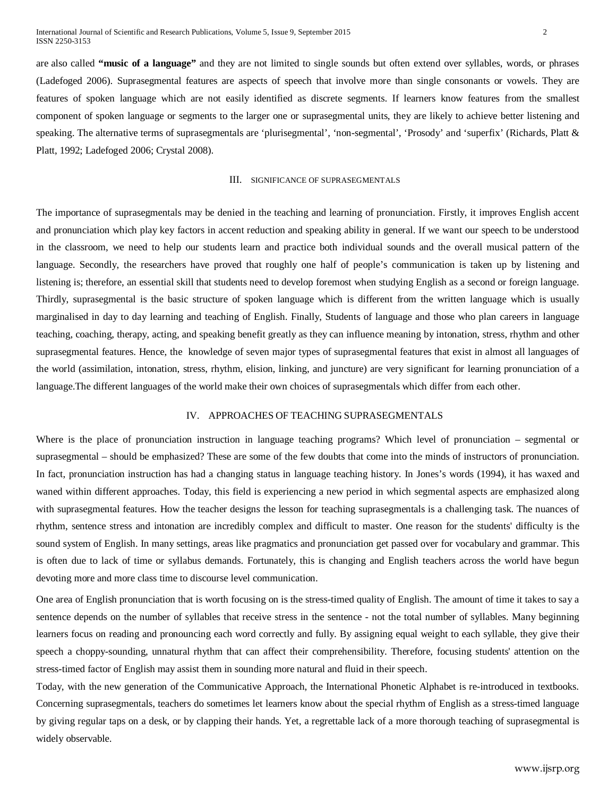are also called **"music of a language"** and they are not limited to single sounds but often extend over syllables, words, or phrases (Ladefoged 2006). Suprasegmental features are aspects of speech that involve more than single consonants or vowels. They are features of spoken language which are not easily identified as discrete segments. If learners know features from the smallest component of spoken language or segments to the larger one or suprasegmental units, they are likely to achieve better listening and speaking. The alternative terms of suprasegmentals are 'plurisegmental', 'non-segmental', 'Prosody' and 'superfix' (Richards, Platt & Platt, 1992; Ladefoged 2006; Crystal 2008).

#### III. SIGNIFICANCE OF SUPRASEGMENTALS

The importance of suprasegmentals may be denied in the teaching and learning of pronunciation. Firstly, it improves English accent and pronunciation which play key factors in accent reduction and speaking ability in general. If we want our speech to be understood in the classroom, we need to help our students learn and practice both individual sounds and the overall musical pattern of the language. Secondly, the researchers have proved that roughly one half of people's communication is taken up by listening and listening is; therefore, an essential skill that students need to develop foremost when studying English as a second or foreign language. Thirdly, suprasegmental is the basic structure of spoken language which is different from the written language which is usually marginalised in day to day learning and teaching of English. Finally, Students of language and those who plan careers in language teaching, coaching, therapy, acting, and speaking benefit greatly as they can influence meaning by intonation, stress, rhythm and other suprasegmental features. Hence, the knowledge of seven major types of suprasegmental features that exist in almost all languages of the world (assimilation, intonation, stress, rhythm, elision, linking, and juncture) are very significant for learning pronunciation of a language.The different languages of the world make their own choices of suprasegmentals which differ from each other.

# IV. APPROACHES OF TEACHING SUPRASEGMENTALS

Where is the place of pronunciation instruction in language teaching programs? Which level of pronunciation – segmental or suprasegmental – should be emphasized? These are some of the few doubts that come into the minds of instructors of pronunciation. In fact, pronunciation instruction has had a changing status in language teaching history. In Jones's words (1994), it has waxed and waned within different approaches. Today, this field is experiencing a new period in which segmental aspects are emphasized along with suprasegmental features. How the teacher designs the lesson for teaching suprasegmentals is a challenging task. The nuances of rhythm, sentence stress and intonation are incredibly complex and difficult to master. One reason for the students' difficulty is the sound system of English. In many settings, areas like pragmatics and pronunciation get passed over for vocabulary and grammar. This is often due to lack of time or syllabus demands. Fortunately, this is changing and English teachers across the world have begun devoting more and more class time to discourse level communication.

One area of English pronunciation that is worth focusing on is the stress-timed quality of English. The amount of time it takes to say a sentence depends on the number of syllables that receive stress in the sentence - not the total number of syllables. Many beginning learners focus on reading and pronouncing each word correctly and fully. By assigning equal weight to each syllable, they give their speech a choppy-sounding, unnatural rhythm that can affect their comprehensibility. Therefore, focusing students' attention on the stress-timed factor of English may assist them in sounding more natural and fluid in their speech.

Today, with the new generation of the Communicative Approach, the International Phonetic Alphabet is re-introduced in textbooks. Concerning suprasegmentals, teachers do sometimes let learners know about the special rhythm of English as a stress-timed language by giving regular taps on a desk, or by clapping their hands. Yet, a regrettable lack of a more thorough teaching of suprasegmental is widely observable.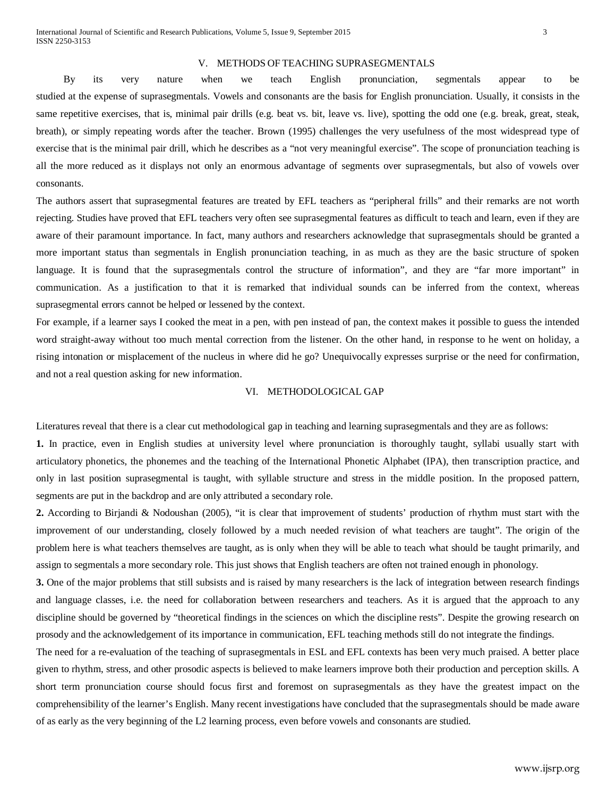#### V. METHODS OF TEACHING SUPRASEGMENTALS

By its very nature when we teach English pronunciation, segmentals appear to be studied at the expense of suprasegmentals. Vowels and consonants are the basis for English pronunciation. Usually, it consists in the same repetitive exercises, that is, minimal pair drills (e.g. beat vs. bit, leave vs. live), spotting the odd one (e.g. break, great, steak, breath), or simply repeating words after the teacher. Brown (1995) challenges the very usefulness of the most widespread type of exercise that is the minimal pair drill, which he describes as a "not very meaningful exercise". The scope of pronunciation teaching is all the more reduced as it displays not only an enormous advantage of segments over suprasegmentals, but also of vowels over consonants.

The authors assert that suprasegmental features are treated by EFL teachers as "peripheral frills" and their remarks are not worth rejecting. Studies have proved that EFL teachers very often see suprasegmental features as difficult to teach and learn, even if they are aware of their paramount importance. In fact, many authors and researchers acknowledge that suprasegmentals should be granted a more important status than segmentals in English pronunciation teaching, in as much as they are the basic structure of spoken language. It is found that the suprasegmentals control the structure of information", and they are "far more important" in communication. As a justification to that it is remarked that individual sounds can be inferred from the context, whereas suprasegmental errors cannot be helped or lessened by the context.

For example, if a learner says I cooked the meat in a pen, with pen instead of pan, the context makes it possible to guess the intended word straight-away without too much mental correction from the listener. On the other hand, in response to he went on holiday, a rising intonation or misplacement of the nucleus in where did he go? Unequivocally expresses surprise or the need for confirmation, and not a real question asking for new information.

#### VI. METHODOLOGICAL GAP

Literatures reveal that there is a clear cut methodological gap in teaching and learning suprasegmentals and they are as follows:

**1.** In practice, even in English studies at university level where pronunciation is thoroughly taught, syllabi usually start with articulatory phonetics, the phonemes and the teaching of the International Phonetic Alphabet (IPA), then transcription practice, and only in last position suprasegmental is taught, with syllable structure and stress in the middle position. In the proposed pattern, segments are put in the backdrop and are only attributed a secondary role.

**2.** According to Birjandi & Nodoushan (2005), "it is clear that improvement of students' production of rhythm must start with the improvement of our understanding, closely followed by a much needed revision of what teachers are taught". The origin of the problem here is what teachers themselves are taught, as is only when they will be able to teach what should be taught primarily, and assign to segmentals a more secondary role. This just shows that English teachers are often not trained enough in phonology.

**3.** One of the major problems that still subsists and is raised by many researchers is the lack of integration between research findings and language classes, i.e. the need for collaboration between researchers and teachers. As it is argued that the approach to any discipline should be governed by "theoretical findings in the sciences on which the discipline rests". Despite the growing research on prosody and the acknowledgement of its importance in communication, EFL teaching methods still do not integrate the findings.

The need for a re-evaluation of the teaching of suprasegmentals in ESL and EFL contexts has been very much praised. A better place given to rhythm, stress, and other prosodic aspects is believed to make learners improve both their production and perception skills. A short term pronunciation course should focus first and foremost on suprasegmentals as they have the greatest impact on the comprehensibility of the learner's English. Many recent investigations have concluded that the suprasegmentals should be made aware of as early as the very beginning of the L2 learning process, even before vowels and consonants are studied.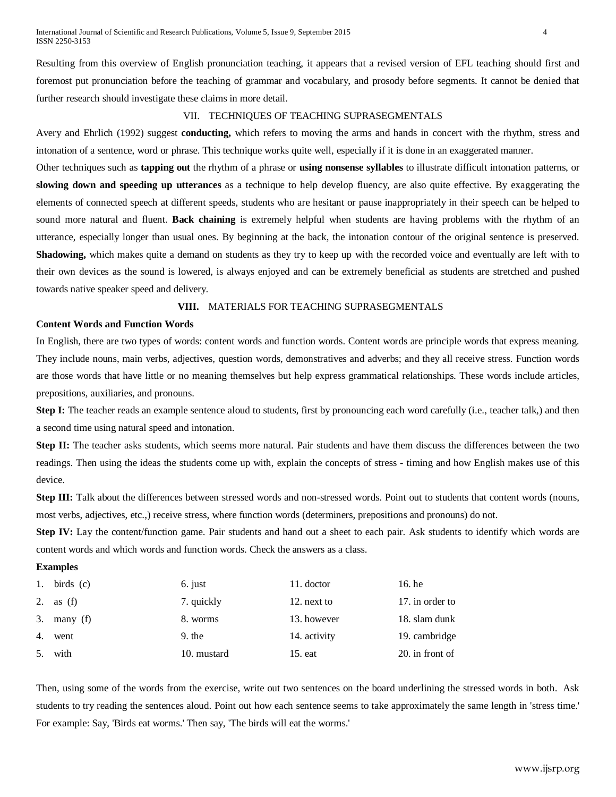Resulting from this overview of English pronunciation teaching, it appears that a revised version of EFL teaching should first and foremost put pronunciation before the teaching of grammar and vocabulary, and prosody before segments. It cannot be denied that further research should investigate these claims in more detail.

## VII. TECHNIQUES OF TEACHING SUPRASEGMENTALS

Avery and Ehrlich (1992) suggest **conducting,** which refers to moving the arms and hands in concert with the rhythm, stress and intonation of a sentence, word or phrase. This technique works quite well, especially if it is done in an exaggerated manner.

Other techniques such as **tapping out** the rhythm of a phrase or **using nonsense syllables** to illustrate difficult intonation patterns, or **slowing down and speeding up utterances** as a technique to help develop fluency, are also quite effective. By exaggerating the elements of connected speech at different speeds, students who are hesitant or pause inappropriately in their speech can be helped to sound more natural and fluent. **Back chaining** is extremely helpful when students are having problems with the rhythm of an utterance, especially longer than usual ones. By beginning at the back, the intonation contour of the original sentence is preserved. **Shadowing,** which makes quite a demand on students as they try to keep up with the recorded voice and eventually are left with to their own devices as the sound is lowered, is always enjoyed and can be extremely beneficial as students are stretched and pushed towards native speaker speed and delivery.

# **VIII.** MATERIALS FOR TEACHING SUPRASEGMENTALS

#### **Content Words and Function Words**

In English, there are two types of words: content words and function words. Content words are principle words that express meaning. They include nouns, main verbs, adjectives, question words, demonstratives and adverbs; and they all receive stress. Function words are those words that have little or no meaning themselves but help express grammatical relationships. These words include articles, prepositions, auxiliaries, and pronouns.

**Step I:** The teacher reads an example sentence aloud to students, first by pronouncing each word carefully (i.e., teacher talk,) and then a second time using natural speed and intonation.

**Step II:** The teacher asks students, which seems more natural. Pair students and have them discuss the differences between the two readings. Then using the ideas the students come up with, explain the concepts of stress - timing and how English makes use of this device.

**Step III:** Talk about the differences between stressed words and non-stressed words. Point out to students that content words (nouns, most verbs, adjectives, etc.,) receive stress, where function words (determiners, prepositions and pronouns) do not.

**Step IV:** Lay the content/function game. Pair students and hand out a sheet to each pair. Ask students to identify which words are content words and which words and function words. Check the answers as a class.

#### **Examples**

| 1. birds $(c)$ | 6. just     | 11. doctor   | 16. he          |
|----------------|-------------|--------------|-----------------|
| 2. as $(f)$    | 7. quickly  | 12. next to  | 17. in order to |
| 3. many $(f)$  | 8. worms    | 13. however  | 18. slam dunk   |
| 4. went        | $9.$ the    | 14. activity | 19. cambridge   |
| 5. with        | 10. mustard | 15. eat      | 20. in front of |

Then, using some of the words from the exercise, write out two sentences on the board underlining the stressed words in both. Ask students to try reading the sentences aloud. Point out how each sentence seems to take approximately the same length in 'stress time.' For example: Say, 'Birds eat worms.' Then say, 'The birds will eat the worms.'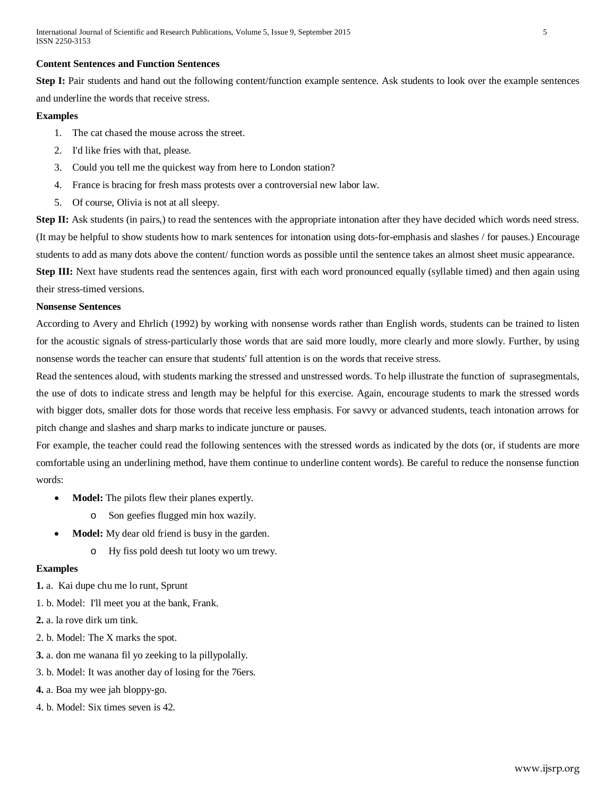## **Content Sentences and Function Sentences**

**Step I:** Pair students and hand out the following content/function example sentence. Ask students to look over the example sentences and underline the words that receive stress.

#### **Examples**

- 1. The cat chased the mouse across the street.
- 2. I'd like fries with that, please.
- 3. Could you tell me the quickest way from here to London station?
- 4. France is bracing for fresh mass protests over a controversial new labor law.
- 5. Of course, Olivia is not at all sleepy.

**Step II:** Ask students (in pairs,) to read the sentences with the appropriate intonation after they have decided which words need stress. (It may be helpful to show students how to mark sentences for intonation using dots-for-emphasis and slashes / for pauses.) Encourage students to add as many dots above the content/ function words as possible until the sentence takes an almost sheet music appearance. **Step III:** Next have students read the sentences again, first with each word pronounced equally (syllable timed) and then again using their stress-timed versions.

## **Nonsense Sentences**

According to Avery and Ehrlich (1992) by working with nonsense words rather than English words, students can be trained to listen for the acoustic signals of stress-particularly those words that are said more loudly, more clearly and more slowly. Further, by using nonsense words the teacher can ensure that students' full attention is on the words that receive stress.

Read the sentences aloud, with students marking the stressed and unstressed words. To help illustrate the function of suprasegmentals, the use of dots to indicate stress and length may be helpful for this exercise. Again, encourage students to mark the stressed words with bigger dots, smaller dots for those words that receive less emphasis. For savvy or advanced students, teach intonation arrows for pitch change and slashes and sharp marks to indicate juncture or pauses.

For example, the teacher could read the following sentences with the stressed words as indicated by the dots (or, if students are more comfortable using an underlining method, have them continue to underline content words). Be careful to reduce the nonsense function words:

- Model: The pilots flew their planes expertly.
	- o Son geefies flugged min hox wazily.
- **Model:** My dear old friend is busy in the garden.
	- o Hy fiss pold deesh tut looty wo um trewy.

## **Examples**

- **1.** a. Kai dupe chu me lo runt, Sprunt
- 1. b. Model: I'll meet you at the bank, Frank.
- **2.** a. la rove dirk um tink.
- 2. b. Model: The X marks the spot.
- **3.** a. don me wanana fil yo zeeking to la pillypolally.
- 3. b. Model: It was another day of losing for the 76ers.
- **4.** a. Boa my wee jah bloppy-go.
- 4. b. Model: Six times seven is 42.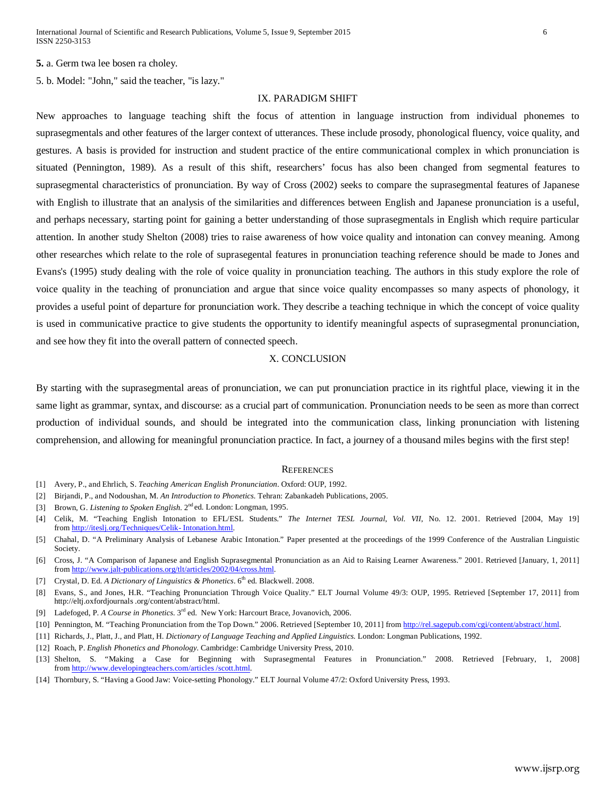**5.** a. Germ twa lee bosen ra choley.

5. b. Model: "John," said the teacher, "is lazy."

# IX. PARADIGM SHIFT

New approaches to language teaching shift the focus of attention in language instruction from individual phonemes to suprasegmentals and other features of the larger context of utterances. These include prosody, phonological fluency, voice quality, and gestures. A basis is provided for instruction and student practice of the entire communicational complex in which pronunciation is situated (Pennington, 1989). As a result of this shift, researchers' focus has also been changed from segmental features to suprasegmental characteristics of pronunciation. By way of Cross (2002) seeks to compare the suprasegmental features of Japanese with English to illustrate that an analysis of the similarities and differences between English and Japanese pronunciation is a useful, and perhaps necessary, starting point for gaining a better understanding of those suprasegmentals in English which require particular attention. In another study Shelton (2008) tries to raise awareness of how voice quality and intonation can convey meaning. Among other researches which relate to the role of suprasegental features in pronunciation teaching reference should be made to Jones and Evans's (1995) study dealing with the role of voice quality in pronunciation teaching. The authors in this study explore the role of voice quality in the teaching of pronunciation and argue that since voice quality encompasses so many aspects of phonology, it provides a useful point of departure for pronunciation work. They describe a teaching technique in which the concept of voice quality is used in communicative practice to give students the opportunity to identify meaningful aspects of suprasegmental pronunciation, and see how they fit into the overall pattern of connected speech.

# X. CONCLUSION

By starting with the suprasegmental areas of pronunciation, we can put pronunciation practice in its rightful place, viewing it in the same light as grammar, syntax, and discourse: as a crucial part of communication. Pronunciation needs to be seen as more than correct production of individual sounds, and should be integrated into the communication class, linking pronunciation with listening comprehension, and allowing for meaningful pronunciation practice. In fact, a journey of a thousand miles begins with the first step!

#### **REFERENCES**

- [1] Avery, P., and Ehrlich, S. *Teaching American English Pronunciation*. Oxford: OUP, 1992.
- [2] Birjandi, P., and Nodoushan, M. *An Introduction to Phonetics.* Tehran: Zabankadeh Publications, 2005.
- [3] Brown, G. *Listening to Spoken English*.  $2^{nd}$ ed. London: Longman, 1995.
- [4] Celik, M. "Teaching English Intonation to EFL/ESL Students." *The Internet TESL Journal*, *Vol. VII*, No. 12. 2001. Retrieved [2004, May 19] fro[m http://iteslj.org/Techniques/Celik-](http://iteslj.org/Techniques/Celik-%20Intonation.html) Intonation.html.
- [5] Chahal, D. "A Preliminary Analysis of Lebanese Arabic Intonation." Paper presented at the proceedings of the 1999 Conference of the Australian Linguistic Society.
- [6] Cross, J. "A Comparison of Japanese and English Suprasegmental Pronunciation as an Aid to Raising Learner Awareness." 2001. Retrieved [January, 1, 2011] from [http://www.jalt-publications.org/tlt/articles/2002/04/cross.html.](http://www.jalt-publications.org/tlt/articles/2002/04/cross.html)
- [7] Crystal, D. Ed. *A Dictionary of Linguistics & Phonetics*. 6<sup>th</sup> ed. Blackwell. 2008.
- [8] Evans, S., and Jones, H.R. "Teaching Pronunciation Through Voice Quality." ELT Journal Volume 49/3: OUP, 1995. Retrieved [September 17, 2011] from http://eltj.oxfordjournals .org/content/abstract/html.
- [9] Ladefoged, P. *A Course in Phonetics.* 3rd ed. New York: Harcourt Brace, Jovanovich, 2006.
- [10] Pennington, M. "Teaching Pronunciation from the Top Down." 2006. Retrieved [September 10, 2011] from [http://rel.sagepub.com/cgi/content/abstract/.html.](http://rel.sagepub.com/cgi/content/abstract/.html)
- [11] Richards, J., Platt, J., and Platt, H. *Dictionary of Language Teaching and Applied Linguistics.* London: Longman Publications, 1992.
- [12] Roach, P. *English Phonetics and Phonology.* Cambridge: Cambridge University Press, 2010.
- [13] Shelton, S. "Making a Case for Beginning with Suprasegmental Features in Pronunciation." 2008. Retrieved [February, 1, 2008] fro[m http://www.developingteachers.com/articles /scott.html.](http://www.developingteachers.com/articles%20/scott.html)
- [14] Thornbury, S. "Having a Good Jaw: Voice-setting Phonology." ELT Journal Volume 47/2: Oxford University Press, 1993.